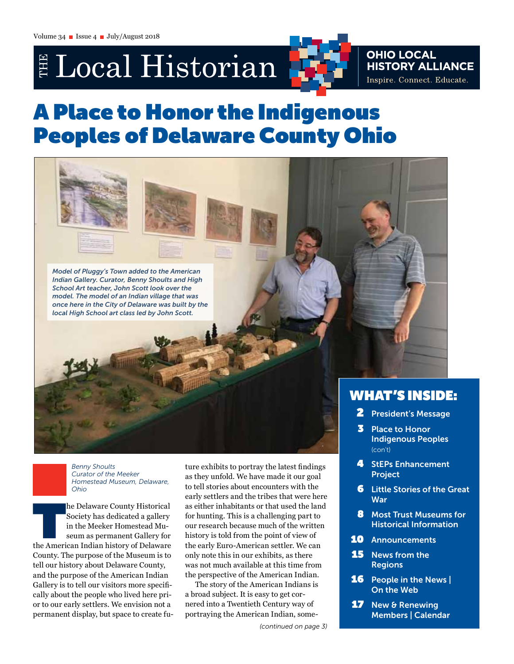# E Local Historian



# **OHIO LOCAL<br>HISTORY ALLIANCE** Inspire. Connect. Educate.

# A Place to Honor the Indigenous Peoples of Delaware County Ohio



- 4 StEPs Enhancement Project
- **6** Little Stories of the Great **War**
- 8 Most Trust Museums for Historical Information
- 10 Announcements
- **15** News from the Regions
- **16** People in the News | On the Web
- **17** New & Renewing Members | Calendar

*Benny Shoults Curator of the Meeker Homestead Museum, Delaware, Ohio*

The Delaware County Historical<br>
Society has dedicated a gallery<br>
in the Meeker Homestead Museum as permanent Gallery for<br>
the American Indian history of Delaware Society has dedicated a gallery in the Meeker Homestead Museum as permanent Gallery for County. The purpose of the Museum is to tell our history about Delaware County, and the purpose of the American Indian Gallery is to tell our visitors more specifically about the people who lived here prior to our early settlers. We envision not a permanent display, but space to create future exhibits to portray the latest findings as they unfold. We have made it our goal to tell stories about encounters with the early settlers and the tribes that were here as either inhabitants or that used the land for hunting. This is a challenging part to our research because much of the written history is told from the point of view of the early Euro-American settler. We can only note this in our exhibits, as there was not much available at this time from the perspective of the American Indian.

The story of the American Indians is a broad subject. It is easy to get cornered into a Twentieth Century way of portraying the American Indian, some-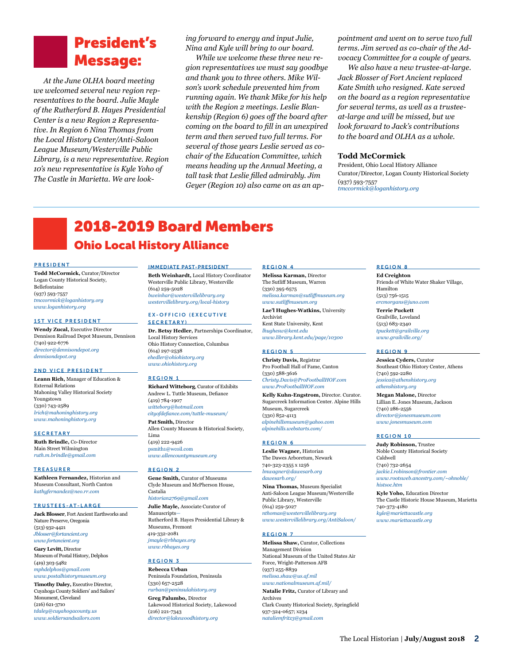# President's Message:

*At the June OLHA board meeting we welcomed several new region representatives to the board. Julie Mayle of the Rutherford B. Hayes Presidential Center is a new Region 2 Representative. In Region 6 Nina Thomas from the Local History Center/Anti-Saloon League Museum/Westerville Public Library, is a new representative. Region 10's new representative is Kyle Yoho of The Castle in Marietta. We are look-* *ing forward to energy and input Julie, Nina and Kyle will bring to our board.*

*While we welcome these three new region representatives we must say goodbye and thank you to three others. Mike Wilson's work schedule prevented him from running again. We thank Mike for his help with the Region 2 meetings. Leslie Blankenship (Region 6) goes off the board after coming on the board to fill in an unexpired term and then served two full terms. For several of those years Leslie served as cochair of the Education Committee, which means heading up the Annual Meeting, a tall task that Leslie filled admirably. Jim Geyer (Region 10) also came on as an ap-* *pointment and went on to serve two full terms. Jim served as co-chair of the Advocacy Committee for a couple of years.* 

*We also have a new trustee-at-large. Jack Blosser of Fort Ancient replaced Kate Smith who resigned. Kate served on the board as a region representative for several terms, as well as a trusteeat-large and will be missed, but we look forward to Jack's contributions to the board and OLHA as a whole.* 

#### **Todd McCormick**

President, Ohio Local History Alliance Curator/Director, Logan County Historical Society (937) 593-7557 *[tmccormick@loganhistory.org](mailto:tmccormick%40loganhistory.org?subject=)*

# 2018-2019 Board Members Ohio Local History Alliance

#### PRESIDENT

**Todd McCormick,** Curator/Director Logan County Historical Society, Bellefontaine (937) 593-7557 *[tmccormick@loganhistory.org](mailto:tmccormick%40loganhistory.org?subject=) [www.loganhistory.org](http://www.loganhistory.org)*

#### 1ST VICE PRESIDENT

**Wendy Zucal,** Executive Director Dennison Railroad Depot Museum, Dennison (740) 922-6776 *[director@dennisondepot.org](mailto:director%40dennisondepot.org?subject=) [dennisondepot.org](http://dennisondepot.org)*

#### 2ND VICE PRESIDENT

**Leann Rich,** Manager of Education & External Relations Mahoning Valley Historical Society Youngstown (330) 743-2589 *[lrich@mahoninghistory.org](mailto:lrich%40mahoninghistory.org?subject=) [www.mahoninghistory.org](https://mahoninghistory.org/)*

#### **SECRETARY**

**Ruth Brindle,** Co-Director Main Street Wilmington *[ruth.m.brindle@gmail.com](mailto:ruth.m.brindle%40gmail.com?subject=)*

#### **TREASURER**

**Kathleen Fernandez,** Historian and Museum Consultant, North Canton *[kathyfernandez@neo.rr.com](mailto:kathyfernandez%40neo.rr.com?subject=)*

#### TRUSTEES-AT-LARGE

**Jack Blosser**, Fort Ancient Earthworks and Nature Preserve, Oregonia (513) 932-4421 *[Jblosser@fortancient.org](mailto:Jblosser%40fortancient.org?subject=) [www.fortancient.org](http://www.fortancient.org/)*

**Gary Levitt,** Director Museum of Postal History, Delphos (419) 303-5482 *[mphdelphos@gmail.com](mailto:mphdelphos%40gmail.com?subject=) [www.postalhistorymuseum.org](http://www.postalhistorymuseum.org)*

**Timothy Daley,** Executive Director, Cuyahoga County Soldiers' and Sailors' Monument, Cleveland (216) 621-3710 *[tdaley@cuyahogacounty.us](mailto:tdaley%40cuyahogacounty.us?subject=) [www.soldiersandsailors.com](http://www.soldiersandsailors.com)*

#### IMMEDIATE PAST-PRESIDENT

**Beth Weinhardt,** Local History Coordinator Westerville Public Library, Westerville (614) 259-5028 *[bweinhar@westervillelibrary.org](mailto:bweinhar%40westervillelibrary.org?subject=) [westervillelibrary.org/local-history](http://westervillelibrary.org/local-history)*

#### EX-OFFICIO (EXECUTIVE SECRETARY)

**Dr. Betsy Hedler,** Partnerships Coordinator, Local History Services Ohio History Connection, Columbus (614) 297-2538 *[ehedler@ohiohistory.org](mailto:ehedler%40ohiohistory.org?subject=) [www.ohiohistory.org](http://www.ohiohistory.org)*

#### REGION 1

**Richard Witteborg**, Curator of Exhibits Andrew L. Tuttle Museum, Defiance (419) 784-1907 *[witteborg@hotmail.com](mailto:witteborg%40hotmail.com?subject=) [cityofdefiance.com/tuttle-museum/](http://cityofdefiance.com/tuttle-museum/)* **Pat Smith,** Director Allen County Museum & Historical Society, Lima (419) 222-9426

[psmith1@wcoil.com](mailto:psmith1%40wcoil.com?subject=) *[www.allencountymuseum.org](http://www.allencountymuseum.org/ACM2/Welcome.html)* 

#### REGION 2

**Gene Smith,** Curator of Museums Clyde Museum and McPherson House, Castalia *[historian2769@gmail.com](mailto:jmayle%40rbhayes.org?subject=)*

**Julie Mayle,** [Associate Curator of](mailto:jmayle%40rbhayes.org?subject=)  [Manuscripts—](mailto:jmayle%40rbhayes.org?subject=) [Rutherford B. Hayes Presidential Library &](mailto:jmayle%40rbhayes.org?subject=)  [Museums, Fremont](mailto:jmayle%40rbhayes.org?subject=) [419-332-2081](mailto:jmayle%40rbhayes.org?subject=) *[jmayle@rbhayes.org](mailto:jmayle%40rbhayes.org?subject=) [www.rbhayes.org](mailto:jmayle%40rbhayes.org?subject=)*

#### REGION 3

**Rebecca Urban** Peninsula Foundation, Peninsula (330) 657-2528 *[rurban@peninsulahistory.org](mailto:rurban%40peninsulahistory.org?subject=)* **Greg Palumbo,** Director Lakewood Historical Society, Lakewood (216) 221-7343 *[director@lakewoodhistory.org](mailto:director%40lakewoodhistory.org%0D?subject=)*

#### REGION 4

**Melissa Karman,** Director The Sutliff Museum, Warren (330) 395-6575 *[melissa.karman@sutliffmuseum.org](mailto:melissa.karman%40sutliffmuseum.org?subject=)  [www.sutliffmuseum.org](http://www.sutliffmuseum.org)*

**Lae'l Hughes-Watkins,** University Archivist Kent State University, Kent *[lhughesw@kent.edu](mailto:lhughesw%40kent.edu?subject=) [www.library.kent.edu/page/10300](http://www.library.kent.edu/page/10300
)*

#### REGION 5

**Christy Davis,** Registrar Pro Football Hall of Fame, Canton (330) 588-3616 *[Christy.Davis@ProFootballHOF.com](mailto:Christy.Davis%40ProFootballHOF.com?subject=)  [www.ProFootballHOF.com](http://www.ProFootballHOF.com)*

**Kelly Kuhn-Engstrom,** Director. Curator. Sugarcreek Information Center. Alpine Hills Museum, Sugarcreek (330) 852-4113 *[alpinehillsmuseum@yahoo.com](mailto:alpinehillsmuseum%40yahoo.com?subject=) [alpinehills.webstarts.com](http://alpinehills.webstarts.com)/*

#### REGION 6

**Leslie Wagner,** Historian The Dawes Arboretum, Newark 740-323-2355 x 1256 *[lmwagner@dawesarb.org](mailto:lmwagner%40dawesarb.org%0A?subject=) [dawesarb.org/](http://dawesarb.org/)*

**Nina Thomas,** Museum Specialist Anti-Saloon League Museum/Westerville Public Library, Westerville (614) 259-5027 *[nthomas@westervillelibrary.org](mailto:nthomas@westervillelibrary.org) [www.westervillelibrary.org/AntiSaloon/](http://www.westervillelibrary.org/AntiSaloon/)*

#### REGION 7

**Melissa Shaw,** Curator, Collections Management Division National Museum of the United States Air Force, Wright-Patterson AFB (937) 255-8839 *[melissa.shaw@us.af.mil](mailto:melissa.shaw%40us.af.mil?subject=) [www.nationalmuseum.af.mil/](http://www.nationalmuseum.af.mil/)*

**Natalie Fritz,** Curator of Library and Archives Clark County Historical Society, Springfield 937-324-0657; x234 *[nataliemfritz3@gmail.com](mailto:nataliemfritz3%40gmail.com?subject=)*

#### REGION 8

**Ed Creighton** Friends of White Water Shaker Village, Hamilton (513) 756-1515 *[ercmorgans@juno.com](mailto:ercmorgans%40juno.com?subject=)*

**Terrie Puckett** Grailville, Loveland (513) 683-2340 *[tpuckett@grailville.org](mailto:tpuckett%40grailville.org?subject=) [www.grailville.org](http://www.grailville.org)/*

#### REGION 9

**Jessica Cyders,** Curator Southeast Ohio History Center, Athens (740) 592-2280 *[jessica@athenshistory.org](mailto:jessica%40athenshistory.org?subject=)  [athenshistory.org](http://athenshistory.org)* **Megan Malone,** Director

Lillian E. Jones Museum, Jackson (740) 286-2556 *[director@jonesmuseum.com](mailto:director%40jonesmuseum.com?subject=) [www.jonesmuseum.com](http://www.jonesmuseum.com)*

#### REGION 10

**Judy Robinson,** Trustee Noble County Historical Society Caldwell (740) 732-2654 *[jackie.l.robinson@frontier.com](mailto:jackie.l.robinson%40frontier.com?subject=) [www.rootsweb.ancestry.com/~ohnoble/](http://www.rootsweb.ancestry.com/~ohnoble/histsoc.htm) [histsoc.htm](http://www.rootsweb.ancestry.com/~ohnoble/histsoc.htm)* 

**Kyle Yoho,** Education Director The Castle Historic House Museum, Marietta 740-373-4180 *[kyle@mariettacastle.org](mailto:kyle@mariettacastle.org) [www.mariettacastle.org](http://www.mariettacastle.org)*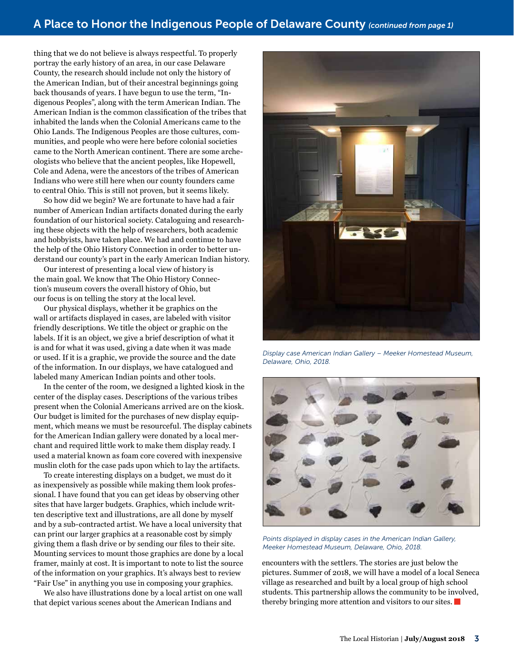thing that we do not believe is always respectful. To properly portray the early history of an area, in our case Delaware County, the research should include not only the history of the American Indian, but of their ancestral beginnings going back thousands of years. I have begun to use the term, "Indigenous Peoples", along with the term American Indian. The American Indian is the common classification of the tribes that inhabited the lands when the Colonial Americans came to the Ohio Lands. The Indigenous Peoples are those cultures, communities, and people who were here before colonial societies came to the North American continent. There are some archeologists who believe that the ancient peoples, like Hopewell, Cole and Adena, were the ancestors of the tribes of American Indians who were still here when our county founders came to central Ohio. This is still not proven, but it seems likely.

So how did we begin? We are fortunate to have had a fair number of American Indian artifacts donated during the early foundation of our historical society. Cataloguing and researching these objects with the help of researchers, both academic and hobbyists, have taken place. We had and continue to have the help of the Ohio History Connection in order to better understand our county's part in the early American Indian history.

Our interest of presenting a local view of history is the main goal. We know that The Ohio History Connection's museum covers the overall history of Ohio, but our focus is on telling the story at the local level.

Our physical displays, whether it be graphics on the wall or artifacts displayed in cases, are labeled with visitor friendly descriptions. We title the object or graphic on the labels. If it is an object, we give a brief description of what it is and for what it was used, giving a date when it was made or used. If it is a graphic, we provide the source and the date of the information. In our displays, we have catalogued and labeled many American Indian points and other tools.

In the center of the room, we designed a lighted kiosk in the center of the display cases. Descriptions of the various tribes present when the Colonial Americans arrived are on the kiosk. Our budget is limited for the purchases of new display equipment, which means we must be resourceful. The display cabinets for the American Indian gallery were donated by a local merchant and required little work to make them display ready. I used a material known as foam core covered with inexpensive muslin cloth for the case pads upon which to lay the artifacts.

To create interesting displays on a budget, we must do it as inexpensively as possible while making them look professional. I have found that you can get ideas by observing other sites that have larger budgets. Graphics, which include written descriptive text and illustrations, are all done by myself and by a sub-contracted artist. We have a local university that can print our larger graphics at a reasonable cost by simply giving them a flash drive or by sending our files to their site. Mounting services to mount those graphics are done by a local framer, mainly at cost. It is important to note to list the source of the information on your graphics. It's always best to review "Fair Use" in anything you use in composing your graphics.

We also have illustrations done by a local artist on one wall that depict various scenes about the American Indians and



*Display case American Indian Gallery – Meeker Homestead Museum, Delaware, Ohio, 2018.* 



*Points displayed in display cases in the American Indian Gallery, Meeker Homestead Museum, Delaware, Ohio, 2018.*

encounters with the settlers. The stories are just below the pictures. Summer of 2018, we will have a model of a local Seneca village as researched and built by a local group of high school students. This partnership allows the community to be involved, thereby bringing more attention and visitors to our sites.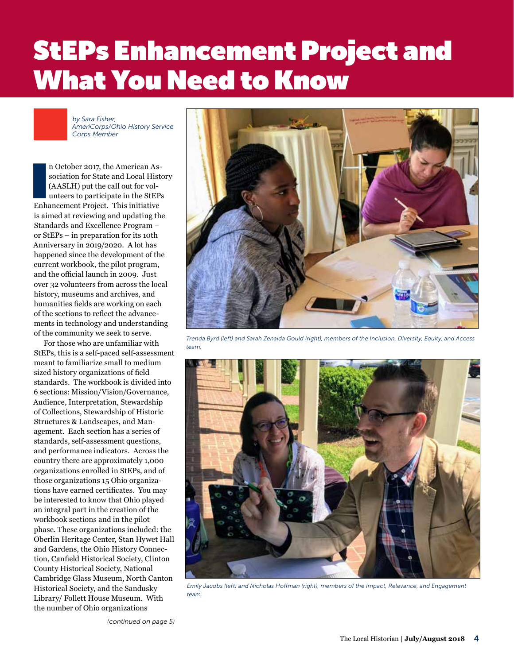# StEPs Enhancement Project and **What You Need to Know**

*by Sara Fisher, AmeriCorps/Ohio History Service Corps Member*

n October 2017, the American Association for State and Local Hist<br>(AASLH) put the call out for volunteers to participate in the StEP<br>Enhancement Project. This initiative n October 2017, the American Association for State and Local History (AASLH) put the call out for volunteers to participate in the StEPs is aimed at reviewing and updating the Standards and Excellence Program – or StEPs – in preparation for its 10th Anniversary in 2019/2020. A lot has happened since the development of the current workbook, the pilot program, and the official launch in 2009. Just over 32 volunteers from across the local history, museums and archives, and humanities fields are working on each of the sections to reflect the advancements in technology and understanding of the community we seek to serve.

For those who are unfamiliar with StEPs, this is a self-paced self-assessment meant to familiarize small to medium sized history organizations of field standards. The workbook is divided into 6 sections: Mission/Vision/Governance, Audience, Interpretation, Stewardship of Collections, Stewardship of Historic Structures & Landscapes, and Management. Each section has a series of standards, self-assessment questions, and performance indicators. Across the country there are approximately 1,000 organizations enrolled in StEPs, and of those organizations 15 Ohio organizations have earned certificates. You may be interested to know that Ohio played an integral part in the creation of the workbook sections and in the pilot phase. These organizations included: the Oberlin Heritage Center, Stan Hywet Hall and Gardens, the Ohio History Connection, Canfield Historical Society, Clinton County Historical Society, National Cambridge Glass Museum, North Canton Historical Society, and the Sandusky Library/ Follett House Museum. With the number of Ohio organizations



*Trenda Byrd (left) and Sarah Zenaida Gould (right), members of the Inclusion, Diversity, Equity, and Access team.*



*Emily Jacobs (left) and Nicholas Hoffman (right), members of the Impact, Relevance, and Engagement team.*

*(continued on page 5)*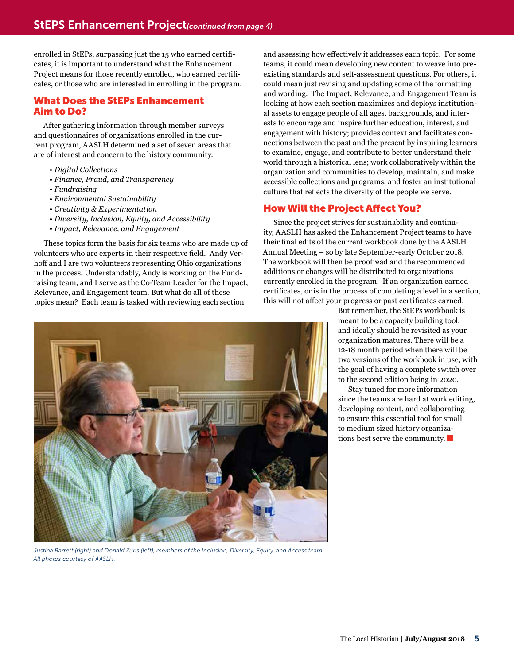enrolled in StEPs, surpassing just the 15 who earned certificates, it is important to understand what the Enhancement Project means for those recently enrolled, who earned certificates, or those who are interested in enrolling in the program.

### What Does the StEPs Enhancement Aim to Do?

After gathering information through member surveys and questionnaires of organizations enrolled in the current program, AASLH determined a set of seven areas that are of interest and concern to the history community.

- *Digital Collections*
- *Finance, Fraud, and Transparency*
- *Fundraising*
- *Environmental Sustainability*
- *Creativity & Experimentation*
- *Diversity, Inclusion, Equity, and Accessibility*
- *Impact, Relevance, and Engagement*

These topics form the basis for six teams who are made up of volunteers who are experts in their respective field. Andy Verhoff and I are two volunteers representing Ohio organizations in the process. Understandably, Andy is working on the Fundraising team, and I serve as the Co-Team Leader for the Impact, Relevance, and Engagement team. But what do all of these topics mean? Each team is tasked with reviewing each section

*Justina Barrett (right) and Donald Zuris (left), members of the Inclusion, Diversity, Equity, and Access team. All photos courtesy of AASLH.*

and assessing how effectively it addresses each topic. For some teams, it could mean developing new content to weave into preexisting standards and self-assessment questions. For others, it could mean just revising and updating some of the formatting and wording. The Impact, Relevance, and Engagement Team is looking at how each section maximizes and deploys institutional assets to engage people of all ages, backgrounds, and interests to encourage and inspire further education, interest, and engagement with history; provides context and facilitates connections between the past and the present by inspiring learners to examine, engage, and contribute to better understand their world through a historical lens; work collaboratively within the organization and communities to develop, maintain, and make accessible collections and programs, and foster an institutional culture that reflects the diversity of the people we serve.

### How Will the Project Affect You?

Since the project strives for sustainability and continuity, AASLH has asked the Enhancement Project teams to have their final edits of the current workbook done by the AASLH Annual Meeting – so by late September-early October 2018. The workbook will then be proofread and the recommended additions or changes will be distributed to organizations currently enrolled in the program. If an organization earned certificates, or is in the process of completing a level in a section, this will not affect your progress or past certificates earned.

But remember, the StEPs workbook is meant to be a capacity building tool, and ideally should be revisited as your organization matures. There will be a 12-18 month period when there will be two versions of the workbook in use, with the goal of having a complete switch over to the second edition being in 2020.

Stay tuned for more information since the teams are hard at work editing, developing content, and collaborating to ensure this essential tool for small to medium sized history organizations best serve the community.

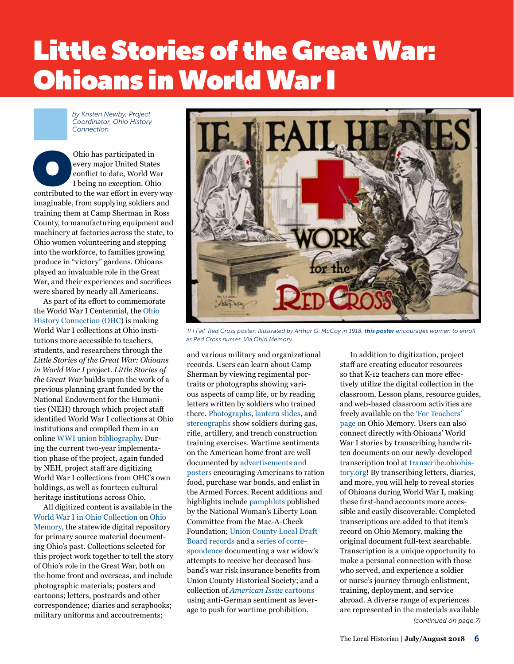# Little Stories of the Great War: **Ohioans in World War I**

*by Kristen Newby, Project Coordinator, Ohio History Connection*

Ohio has participated in<br>
every major United States<br>
conflict to date, World War<br>
I being no exception. Ohio<br>
contributed to the war effort in every way every major United States conflict to date, World War I being no exception. Ohio imaginable, from supplying soldiers and training them at Camp Sherman in Ross County, to manufacturing equipment and machinery at factories across the state, to Ohio women volunteering and stepping into the workforce, to families growing produce in "victory" gardens. Ohioans played an invaluable role in the Great War, and their experiences and sacrifices were shared by nearly all Americans.

As part of its effort to commemorate the World War I Centennial, the [Ohio](https://www.ohiohistory.org/)  [History Connection \(OHC\)](https://www.ohiohistory.org/) is making World War I collections at Ohio institutions more accessible to teachers, students, and researchers through the *Little Stories of the Great War: Ohioans in World War I* project. *Little Stories of the Great War* builds upon the work of a previous planning grant funded by the National Endowment for the Humanities (NEH) through which project staff identified World War I collections at Ohio institutions and compiled them in an online [WWI union bibliography.](http://www.ohiohistoryhost.org/wwibib/) During the current two-year implementation phase of the project, again funded by NEH, project staff are digitizing World War I collections from OHC's own holdings, as well as fourteen cultural heritage institutions across Ohio.

All digitized content is available in the [World War I in Ohio Collection](http://www.ohiomemory.org/cdm/landingpage/collection/p16007coll51) on [Ohio](http://ohiomemory.org/)  [Memory,](http://ohiomemory.org/) the statewide digital repository for primary source material documenting Ohio's past. Collections selected for this project work together to tell the story of Ohio's role in the Great War, both on the home front and overseas, and include photographic materials; posters and cartoons; letters, postcards and other correspondence; diaries and scrapbooks; military uniforms and accoutrements;



'If I Fail' Red Cross poster: Illustrated by Arthur G. McCoy in 1918, [this poster](http://www.ohiomemory.org/cdm/ref/collection/p16007coll51/id/638) encourages women to enroll *as Red Cross nurses. Via Ohio Memory.*

and various military and organizational records. Users can learn about Camp Sherman by viewing regimental portraits or photographs showing various aspects of camp life, or by reading letters written by soldiers who trained there. [Photographs](http://www.ohiomemory.org/cdm/search/collection/p16007coll51/searchterm/Military life!Military training!Black-and-white photographs/field/subjec!subjec!format/mode/all!all!all/conn/or!and!and/display/200/order/nosort/ad/asc), [lantern slides](http://www.ohiomemory.org/cdm/search/collection/p16007coll51/searchterm/World War I Training Slides/field/collec/mode/all/conn/and/order/nosort), and [stereographs](http://www.ohiomemory.org/cdm/search/collection/p16007coll51/searchterm/stereograph/order/nosort) show soldiers during gas, rifle, artillery, and trench construction training exercises. Wartime sentiments on the American home front are well documented by [advertisements and](http://www.ohiomemory.org/cdm/search/collection/p16007coll51/searchterm/poster/field/all/mode/all/conn/and/display/200/order/nosort/ad/asc)  [posters](http://www.ohiomemory.org/cdm/search/collection/p16007coll51/searchterm/poster/field/all/mode/all/conn/and/display/200/order/nosort/ad/asc) encouraging Americans to ration food, purchase war bonds, and enlist in the Armed Forces. Recent additions and highlights include [pamphlets](http://www.ohiomemory.org/cdm/search/collection/p16007coll51/searchterm/mac-a-cheek/order/nosort) published by the National Woman's Liberty Loan Committee from the Mac-A-Cheek Foundation; [Union County Local Draft](http://www.ohiomemory.org/cdm/search/collection/p16007coll51/searchterm/local draft board records/order/nosort)  [Board records](http://www.ohiomemory.org/cdm/search/collection/p16007coll51/searchterm/local draft board records/order/nosort) and a [series of corre](http://www.ohiomemory.org/cdm/search/collection/p16007coll51/searchterm/charles beecher/order/nosort)[spondence](http://www.ohiomemory.org/cdm/search/collection/p16007coll51/searchterm/charles beecher/order/nosort) documenting a war widow's attempts to receive her deceased husband's war risk insurance benefits from Union County Historical Society; and a collection of *[American Issue](http://www.ohiomemory.org/cdm/search/collection/p16007coll51/searchterm/anti-saloon league museum!cartoon/field/all!all/mode/all!all/conn/and!and/order/nosort/ad/asc)* cartoons using anti-German sentiment as leverage to push for wartime prohibition.

*(continued on page 7)* In addition to digitization, project staff are creating educator resources so that K-12 teachers can more effectively utilize the digital collection in the classroom. Lesson plans, resource guides, and web-based classroom activities are freely available on the ['For Teachers'](http://www.ohiohistoryhost.org/ohiomemory/resources/for-teachers)  [page](http://www.ohiohistoryhost.org/ohiomemory/resources/for-teachers) on Ohio Memory. Users can also connect directly with Ohioans' World War I stories by transcribing handwritten documents on our newly-developed transcription tool at [transcribe.ohiohis](http://transcribe.ohiohistory.org/)[tory.org](http://transcribe.ohiohistory.org/)! By transcribing letters, diaries, and more, you will help to reveal stories of Ohioans during World War I, making these first-hand accounts more accessible and easily discoverable. Completed transcriptions are added to that item's record on Ohio Memory, making the original document full-text searchable. Transcription is a unique opportunity to make a personal connection with those who served, and experience a soldier or nurse's journey through enlistment, training, deployment, and service abroad. A diverse range of experiences are represented in the materials available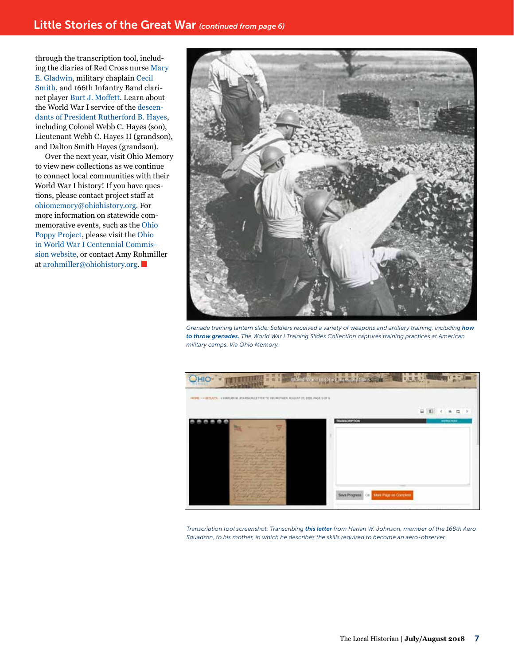through the transcription tool, including the diaries of Red Cross nurse [Mary](http://www.ohiomemory.org/cdm/ref/collection/p16007coll51/id/3479)  [E. Gladwin](http://www.ohiomemory.org/cdm/ref/collection/p16007coll51/id/3479), military chaplain [Cecil](http://www.ohiomemory.org/cdm/ref/collection/p16007coll51/id/977)  [Smith](http://www.ohiomemory.org/cdm/ref/collection/p16007coll51/id/977), and 166th Infantry Band clarinet player [Burt J. Moffett](http://www.ohiomemory.org/cdm/ref/collection/p16007coll51/id/6032). Learn about the World War I service of the [descen](http://www.ohiomemory.org/cdm/search/collection/p16007coll51/searchterm/rutherford B. Hayes/field/contri/mode/all/conn/and/order/nosort)[dants of President Rutherford B. Hayes](http://www.ohiomemory.org/cdm/search/collection/p16007coll51/searchterm/rutherford B. Hayes/field/contri/mode/all/conn/and/order/nosort), including Colonel Webb C. Hayes (son), Lieutenant Webb C. Hayes II (grandson), and Dalton Smith Hayes (grandson).

Over the next year, visit Ohio Memory to view new collections as we continue to connect local communities with their World War I history! If you have questions, please contact project staff at [ohiomemory@ohiohistory.org](mailto:ohiomemory@ohiohistory.org). For more information on statewide commemorative events, such as the [Ohio](https://www.worldwar1centennial.org/index.php/ohio-in-ww1-articles/4270-introducing-the-ohio-poppy-project.html)  [Poppy Project](https://www.worldwar1centennial.org/index.php/ohio-in-ww1-articles/4270-introducing-the-ohio-poppy-project.html), please visit the [Ohio](https://www.worldwar1centennial.org/index.php/ohio-in-ww1-home-page.html)  [in World War I Centennial Commis](https://www.worldwar1centennial.org/index.php/ohio-in-ww1-home-page.html)[sion website,](https://www.worldwar1centennial.org/index.php/ohio-in-ww1-home-page.html) or contact Amy Rohmiller at [arohmiller@ohiohistory.org.](mailto:arohmiller@ohiohistory.org)



*Grenade training lantern slide: Soldiers received a variety of weapons and artillery training, including [how](http://www.ohiomemory.org/cdm/ref/collection/p16007coll51/id/3980)  [to throw grenades.](http://www.ohiomemory.org/cdm/ref/collection/p16007coll51/id/3980) The World War I Training Slides Collection captures training practices at American military camps. Via Ohio Memory.*



*Transcription tool screenshot: Transcribing [this letter](http://www.ohiomemory.org/cdm/ref/collection/p16007coll51/id/2519) from Harlan W. Johnson, member of the 168th Aero Squadron, to his mother, in which he describes the skills required to become an aero-observer.*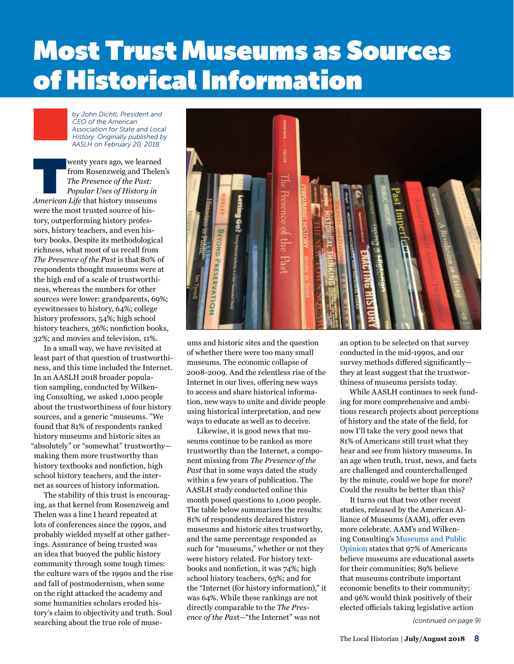# Most Trust Museums as Sources of **Historical Information**

*by John Dichtl, President and CEO of the American Association for State and Local History. Originally published by AASLH on February 20, 2018.*

Wenty years ago, we learned<br>
from Rosenzweig and Theler<br> *The Presence of the Past:*<br> *Popular Uses of History in*<br> *American Life* that history museums from Rosenzweig and Thelen's *The Presence of the Past: Popular Uses of History in*  were the most trusted source of history, outperforming history professors, history teachers, and even history books. Despite its methodological richness, what most of us recall from *The Presence of the Past* is that 80% of respondents thought museums were at the high end of a scale of trustworthiness, whereas the numbers for other sources were lower: grandparents, 69%; eyewitnesses to history, 64%; college history professors, 54%; high school history teachers, 36%; nonfiction books, 32%; and movies and television, 11%.

In a small way, we have revisited at least part of that question of trustworthiness, and this time included the Internet. In an AASLH 2018 broader population sampling, conducted by Wilkening Consulting, we asked 1,000 people about the trustworthiness of four history sources, and a generic "museums. "We found that 81% of respondents ranked history museums and historic sites as "absolutely" or "somewhat" trustworthy making them more trustworthy than history textbooks and nonfiction, high school history teachers, and the internet as sources of history information.

The stability of this trust is encouraging, as that kernel from Rosenzweig and Thelen was a line I heard repeated at lots of conferences since the 1990s, and probably wielded myself at other gatherings. Assurance of being trusted was an idea that buoyed the public history community through some tough times: the culture wars of the 1990s and the rise and fall of postmodernism, when some on the right attacked the academy and some humanities scholars eroded history's claim to objectivity and truth. Soul searching about the true role of muse-



ums and historic sites and the question of whether there were too many small museums. The economic collapse of 2008-2009. And the relentless rise of the Internet in our lives, offering new ways to access and share historical information, new ways to unite and divide people using historical interpretation, and new ways to educate as well as to deceive.

Likewise, it is good news that museums continue to be ranked as more trustworthy than the Internet, a component missing from *The Presence of the Past* that in some ways dated the study within a few years of publication. The AASLH study conducted online this month posed questions to 1,000 people. The table below summarizes the results: 81% of respondents declared history museums and historic sites trustworthy, and the same percentage responded as such for "museums," whether or not they were history related. For history textbooks and nonfiction, it was 74%; high school history teachers, 65%; and for the "Internet (for history information)," it was 64%. While these rankings are not directly comparable to the *The Presence of the Pas*t—"the Internet" was not

an option to be selected on that survey conducted in the mid-1990s, and our survey methods differed significantly they at least suggest that the trustworthiness of museums persists today.

While AASLH continues to seek funding for more comprehensive and ambitious research projects about perceptions of history and the state of the field, for now I'll take the very good news that 81% of Americans still trust what they hear and see from history museums. In an age when truth, trust, news, and facts are challenged and counterchallenged by the minute, could we hope for more? Could the results be better than this?

It turns out that two other recent studies, released by the American Alliance of Museums (AAM), offer even more celebrate. AAM's and Wilkening Consulting's [Museums and Public](https://www.aam-us.org/2018/01/20/museums-and-public-opinion/)  [Opinion](https://www.aam-us.org/2018/01/20/museums-and-public-opinion/) states that 97% of Americans believe museums are educational assets for their communities; 89% believe that museums contribute important economic benefits to their community; and 96% would think positively of their elected officials taking legislative action

*(continued on page 9)*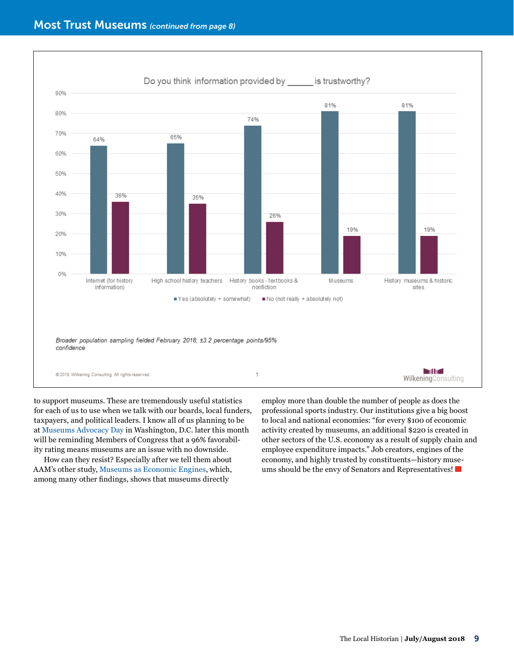

to support museums. These are tremendously useful statistics for each of us to use when we talk with our boards, local funders, taxpayers, and political leaders. I know all of us planning to be at [Museums Advocacy Day](http://blogs.aaslh.org/join-aaslh-at-museums-advocacy-day-2018/) in Washington, D.C. later this month will be reminding Members of Congress that a 96% favorability rating means museums are an issue with no downside.

How can they resist? Especially after we tell them about AAM's other study, [Museums as Economic Engines](https://www.aam-us.org/2018/01/19/museums-as-economic-engines/), which, among many other findings, shows that museums directly

employ more than double the number of people as does the professional sports industry. Our institutions give a big boost to local and national economies: "for every \$100 of economic activity created by museums, an additional \$220 is created in other sectors of the U.S. economy as a result of supply chain and employee expenditure impacts." Job creators, engines of the economy, and highly trusted by constituents—history museums should be the envy of Senators and Representatives!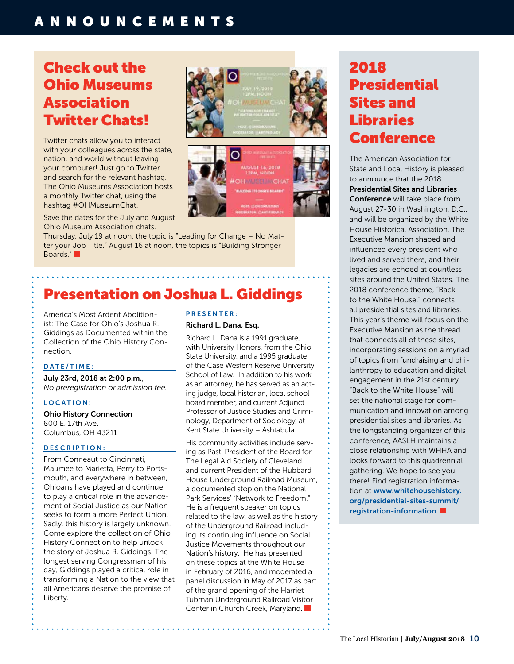## ANNOUNCEMENTS

# Check out the Ohio Museums Association Twitter Chats!

Twitter chats allow you to interact with your colleagues across the state, nation, and world without leaving your computer! Just go to Twitter and search for the relevant hashtag. The Ohio Museums Association hosts a monthly Twitter chat, using the hashtag #OHMuseumChat.

Save the dates for the July and August Ohio Museum Association chats.

Thursday, July 19 at noon, the topic is "Leading for Change – No Matter your Job Title." August 16 at noon, the topics is "Building Stronger Boards."

# Presentation on Joshua L. Giddings

America's Most Ardent Abolitionist: The Case for Ohio's Joshua R. Giddings as Documented within the Collection of the Ohio History Connection.

#### DATE/TIME:

July 23rd, 2018 at 2:00 p.m., *No preregistration or admission fee.* 

#### LOCATION:

Ohio History Connection 800 E. 17th Ave. Columbus, OH 43211

#### D E S C R I P T I O N :

From Conneaut to Cincinnati, Maumee to Marietta, Perry to Portsmouth, and everywhere in between, Ohioans have played and continue to play a critical role in the advancement of Social Justice as our Nation seeks to form a more Perfect Union. Sadly, this history is largely unknown. Come explore the collection of Ohio History Connection to help unlock the story of Joshua R. Giddings. The longest serving Congressman of his day, Giddings played a critical role in transforming a Nation to the view that all Americans deserve the promise of Liberty.

#### PRESENTER:

#### Richard L. Dana, Esq.

റ

Richard L. Dana is a 1991 graduate, with University Honors, from the Ohio State University, and a 1995 graduate of the Case Western Reserve University School of Law. In addition to his work as an attorney, he has served as an acting judge, local historian, local school board member, and current Adjunct Professor of Justice Studies and Criminology, Department of Sociology, at Kent State University – Ashtabula.

His community activities include serving as Past-President of the Board for The Legal Aid Society of Cleveland and current President of the Hubbard House Underground Railroad Museum, a documented stop on the National Park Services' "Network to Freedom." He is a frequent speaker on topics related to the law, as well as the history of the Underground Railroad including its continuing influence on Social Justice Movements throughout our Nation's history. He has presented on these topics at the White House in February of 2016, and moderated a panel discussion in May of 2017 as part of the grand opening of the Harriet Tubman Underground Railroad Visitor Center in Church Creek, Maryland.

# 2018 **Presidential** Sites and Libraries **Conference**

The American Association for State and Local History is pleased to announce that the 2018 Presidential Sites and Libraries Conference will take place from August 27-30 in Washington, D.C., and will be organized by the White House Historical Association. The Executive Mansion shaped and influenced every president who lived and served there, and their legacies are echoed at countless sites around the United States. The 2018 conference theme, "Back to the White House," connects all presidential sites and libraries. This year's theme will focus on the Executive Mansion as the thread that connects all of these sites, incorporating sessions on a myriad of topics from fundraising and philanthropy to education and digital engagement in the 21st century. "Back to the White House" will set the national stage for communication and innovation among presidential sites and libraries. As the longstanding organizer of this conference, AASLH maintains a close relationship with WHHA and looks forward to this quadrennial gathering. We hope to see you there! Find registration information at [www.whitehousehistory.](https://www.whitehousehistory.org/presidential-sites-summit/registration-information) [org/presidential-sites-summit/](https://www.whitehousehistory.org/presidential-sites-summit/registration-information) [registration-information](https://www.whitehousehistory.org/presidential-sites-summit/registration-information)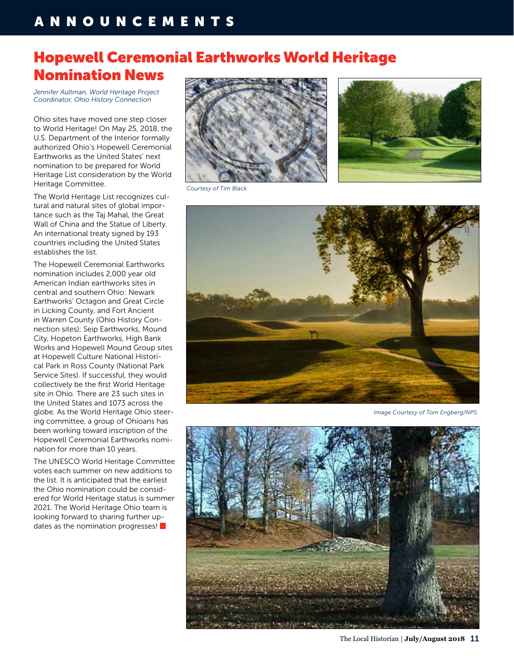# Hopewell Ceremonial Earthworks World Heritage Nomination News

*Jennifer Aultman, World Heritage Project Coordinator, Ohio History Connection*

Ohio sites have moved one step closer to World Heritage! On May 25, 2018, the U.S. Department of the Interior formally authorized Ohio's Hopewell Ceremonial Earthworks as the United States' next nomination to be prepared for World Heritage List consideration by the World Heritage Committee.

The World Heritage List recognizes cultural and natural sites of global importance such as the Taj Mahal, the Great Wall of China and the Statue of Liberty. An international treaty signed by 193 countries including the United States establishes the list.

The Hopewell Ceremonial Earthworks nomination includes 2,000 year old American Indian earthworks sites in central and southern Ohio: Newark Earthworks' Octagon and Great Circle in Licking County, and Fort Ancient in Warren County (Ohio History Connection sites); Seip Earthworks, Mound City, Hopeton Earthworks, High Bank Works and Hopewell Mound Group sites at Hopewell Culture National Historical Park in Ross County (National Park Service Sites). If successful, they would collectively be the first World Heritage site in Ohio. There are 23 such sites in the United States and 1073 across the globe. As the World Heritage Ohio steering committee, a group of Ohioans has been working toward inscription of the Hopewell Ceremonial Earthworks nomination for more than 10 years.

The UNESCO World Heritage Committee votes each summer on new additions to the list. It is anticipated that the earliest the Ohio nomination could be considered for World Heritage status is summer 2021. The World Heritage Ohio team is looking forward to sharing further updates as the nomination progresses!





*Courtesy of Tim Black*



*Image Courtesy of Tom Engberg/NPS.*



The Local Historian | **July/August 2018** 11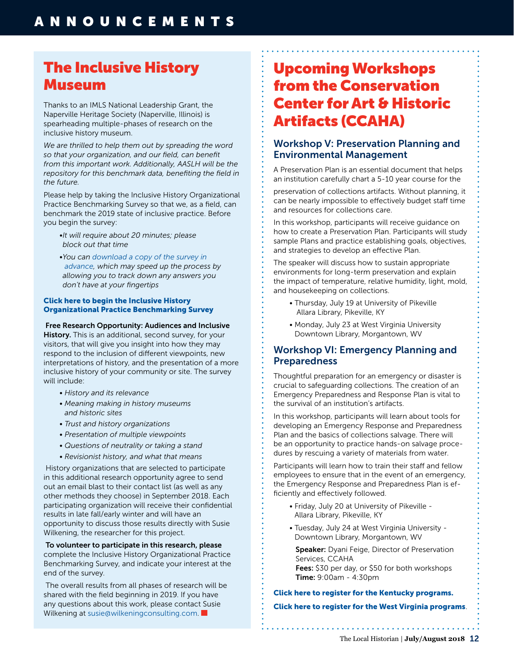# The Inclusive History Museum

Thanks to an IMLS National Leadership Grant, the Naperville Heritage Society (Naperville, Illinois) is spearheading multiple-phases of research on the inclusive history museum.

*We are thrilled to help them out by spreading the word so that your organization, and our field, can benefit from this important work. Additionally, AASLH will be the repository for this benchmark data, benefiting the field in the future.*

Please help by taking the Inclusive History Organizational Practice Benchmarking Survey so that we, as a field, can benchmark the 2019 state of inclusive practice. Before you begin the survey:

- *•It will require about 20 minutes; please block out that time*
- *•You can [download a copy of the survey in](https://aaslh.site-ym.com/link.asp?e=betsy.hedler@gmail.com&job=3375412&ymlink=246075066&finalurl=http%3A%2F%2Fwww%2Ewilkeningconsulting%2Ecom%2Fuploads%2F8%2F6%2F3%2F2%2F86329422%2F2018%5Finclusive%5Fhistory%5Forganizational%5Fpractice%5Fsurvey%2Epdf)  [advance](https://aaslh.site-ym.com/link.asp?e=betsy.hedler@gmail.com&job=3375412&ymlink=246075066&finalurl=http%3A%2F%2Fwww%2Ewilkeningconsulting%2Ecom%2Fuploads%2F8%2F6%2F3%2F2%2F86329422%2F2018%5Finclusive%5Fhistory%5Forganizational%5Fpractice%5Fsurvey%2Epdf), which may speed up the process by allowing you to track down any answers you don't have at your fingertips*

#### [Click here to begin the Inclusive History](https://aaslh.site-ym.com/link.asp?e=betsy.hedler@gmail.com&job=3375412&ymlink=246075066&finalurl=https%3A%2F%2Fwww%2Esurveygizmo%2Ecom%2Fs3%2F4296345%2FInclusive%2Dhistory%2Dorganizational%2Dpractice%2D2018)  [Organizational Practice Benchmarking Survey](https://aaslh.site-ym.com/link.asp?e=betsy.hedler@gmail.com&job=3375412&ymlink=246075066&finalurl=https%3A%2F%2Fwww%2Esurveygizmo%2Ecom%2Fs3%2F4296345%2FInclusive%2Dhistory%2Dorganizational%2Dpractice%2D2018)

#### Free Research Opportunity: Audiences and Inclusive

History. This is an additional, second survey, for your visitors, that will give you insight into how they may respond to the inclusion of different viewpoints, new interpretations of history, and the presentation of a more inclusive history of your community or site. The survey will include:

- *History and its relevance*
- *Meaning making in history museums and historic sites*
- *Trust and history organizations*
- *Presentation of multiple viewpoints*
- *Questions of neutrality or taking a stand*
- *Revisionist history, and what that means*

 History organizations that are selected to participate in this additional research opportunity agree to send out an email blast to their contact list (as well as any other methods they choose) in September 2018. Each participating organization will receive their confidential results in late fall/early winter and will have an opportunity to discuss those results directly with Susie Wilkening, the researcher for this project.

To volunteer to participate in this research, please complete the Inclusive History Organizational Practice Benchmarking Survey, and indicate your interest at the end of the survey.

 The overall results from all phases of research will be shared with the field beginning in 2019. If you have any questions about this work, please contact Susie Wilkening at [susie@wilkeningconsulting.com](mailto:susie@wilkeningconsulting.com).

# Upcoming Workshops from the Conservation Center for Art & Historic Artifacts (CCAHA)

### Workshop V: Preservation Planning and Environmental Management

A Preservation Plan is an essential document that helps an institution carefully chart a 5-10 year course for the

preservation of collections artifacts. Without planning, it can be nearly impossible to effectively budget staff time and resources for collections care.

In this workshop, participants will receive guidance on how to create a Preservation Plan. Participants will study sample Plans and practice establishing goals, objectives, and strategies to develop an effective Plan.

The speaker will discuss how to sustain appropriate environments for long-term preservation and explain the impact of temperature, relative humidity, light, mold, and housekeeping on collections.

- Thursday, July 19 at University of Pikeville Allara Library, Pikeville, KY
- Monday, July 23 at West Virginia University Downtown Library, Morgantown, WV

### Workshop VI: Emergency Planning and Preparedness

Thoughtful preparation for an emergency or disaster is crucial to safeguarding collections. The creation of an Emergency Preparedness and Response Plan is vital to the survival of an institution's artifacts.

In this workshop, participants will learn about tools for developing an Emergency Response and Preparedness Plan and the basics of collections salvage. There will be an opportunity to practice hands-on salvage procedures by rescuing a variety of materials from water.

Participants will learn how to train their staff and fellow employees to ensure that in the event of an emergency, the Emergency Response and Preparedness Plan is efficiently and effectively followed.

- Friday, July 20 at University of Pikeville Allara Library, Pikeville, KY
- Tuesday, July 24 at West Virginia University Downtown Library, Morgantown, WV

Speaker: Dyani Feige, Director of Preservation Services, CCAHA Fees: \$30 per day, or \$50 for both workshops Time: 9:00am - 4:30pm

[Click here to register for the Kentucky programs.](http://r20.rs6.net/tn.jsp?f=001pr3s_a77oA36OpiZvloJits9LCaVXmDJvmBtJiHL8V7PHt16Pbe3K52oEmYzjdTwx42uzCMRYh2STBy3C-Ps4OcoWyKgO5XEi4wOB-y8NxrsUzBxr05xw7mtoHJ1SAuS43qVC7MSSooMTdjBOeUH8ZALHCNOLaoNpk--LwSJiRB_4VJsr5AGx4CxGnLxrWlmJ7xssK307x4=&c=m_DGiy6Fw3Wza2XNHK1Fp8BOM18vEHiPKFbRS2P6WBxzd5AGyWviBg==&ch=Ei69Lu3H_p4uaVbAMFchcBDcRpVUlRsB42ISWe3yZ6KJapdfnFgYaA==) [Click here to register for the West Virginia programs](http://r20.rs6.net/tn.jsp?f=001pr3s_a77oA36OpiZvloJits9LCaVXmDJvmBtJiHL8V7PHt16Pbe3K52oEmYzjdTw3d_EExdiluTCtL2XVD45FMTFcg3DW0OWSOuz8iNjfsDpd94rs3s58GMJlZBQE0sCgz9lUZZYbOEZp2ZdvD3L1lLUR0MFq6IOv8N5GzKLxurEiM1-QEuivrE85QN5byvbciqCxaJN6tg=&c=m_DGiy6Fw3Wza2XNHK1Fp8BOM18vEHiPKFbRS2P6WBxzd5AGyWviBg==&ch=Ei69Lu3H_p4uaVbAMFchcBDcRpVUlRsB42ISWe3yZ6KJapdfnFgYaA==).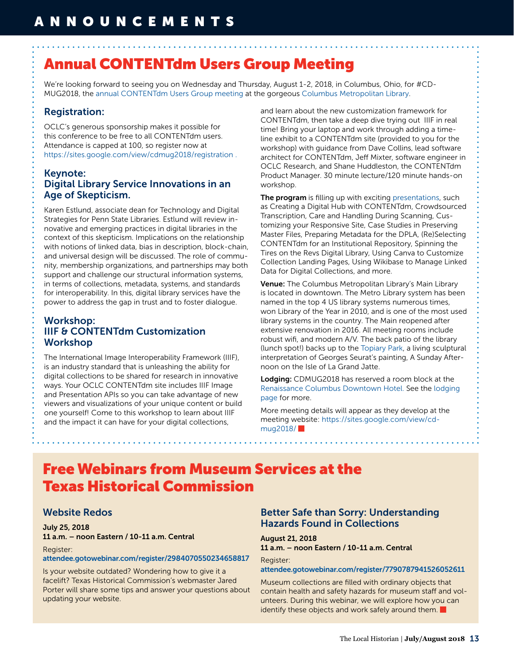# Annual CONTENTdm Users Group Meeting

We're looking forward to seeing you on Wednesday and Thursday, August 1-2, 2018, in Columbus, Ohio, for #CD-MUG2018, the [annual CONTENTdm Users Group meeting](https://sites.google.com/view/cdmug2018) at the gorgeous [Columbus Metropolitan Library](https://www.columbuslibrary.org/buildings/main-library).

### Registration:

OCLC's generous sponsorship makes it possible for this conference to be free to all CONTENTdm users. Attendance is capped at 100, so register now at <https://sites.google.com/view/cdmug2018/registration>.

### Keynote: Digital Library Service Innovations in an Age of Skepticism.

Karen Estlund, associate dean for Technology and Digital Strategies for Penn State Libraries. Estlund will review innovative and emerging practices in digital libraries in the context of this skepticism. Implications on the relationship with notions of linked data, bias in description, block-chain, and universal design will be discussed. The role of community, membership organizations, and partnerships may both support and challenge our structural information systems, in terms of collections, metadata, systems, and standards for interoperability. In this, digital library services have the power to address the gap in trust and to foster dialogue.

### Workshop: IIIF & CONTENTdm Customization Workshop

The International Image Interoperability Framework (IIIF), is an industry standard that is unleashing the ability for digital collections to be shared for research in innovative ways. Your OCLC CONTENTdm site includes IIIF Image and Presentation APIs so you can take advantage of new viewers and visualizations of your unique content or build one yourself! Come to this workshop to learn about IIIF and the impact it can have for your digital collections,

and learn about the new customization framework for CONTENTdm, then take a deep dive trying out IIIF in real time! Bring your laptop and work through adding a timeline exhibit to a CONTENTdm site (provided to you for the workshop) with guidance from Dave Collins, lead software architect for CONTENTdm, Jeff Mixter, software engineer in OCLC Research, and Shane Huddleston, the CONTENTdm Product Manager. 30 minute lecture/120 minute hands-on workshop.

The program is filling up with exciting [presentations](https://sites.google.com/view/cdmug2018/program), such as Creating a Digital Hub with CONTENTdm, Crowdsourced Transcription, Care and Handling During Scanning, Customizing your Responsive Site, Case Studies in Preserving Master Files, Preparing Metadata for the DPLA, (Re)Selecting CONTENTdm for an Institutional Repository, Spinning the Tires on the Revs Digital Library, Using Canva to Customize Collection Landing Pages, Using Wikibase to Manage Linked Data for Digital Collections, and more.

Venue: The Columbus Metropolitan Library's Main Library is located in downtown. The Metro Library system has been named in the top 4 US library systems numerous times, won Library of the Year in 2010, and is one of the most used library systems in the country. The Main reopened after extensive renovation in 2016. All meeting rooms include robust wifi, and modern A/V. The back patio of the library (lunch spot!) backs up to the [Topiary Park,](http://www.topiarypark.org/) a living sculptural interpretation of Georges Seurat's painting, A Sunday Afternoon on the Isle of La Grand Jatte.

Lodging: CDMUG2018 has reserved a room block at the [Renaissance Columbus Downtown Hotel.](http://renaissance-hotels.marriott.com/renaissance-columbus-downtown-hotel/) See the [lodging](https://sites.google.com/view/cdmug2018/lodgingtravel)  [page](https://sites.google.com/view/cdmug2018/lodgingtravel) for more.

More meeting details will appear as they develop at the meeting website: [https://sites.google.com/view/cd](https://sites.google.com/view/cdmug2018/)[mug2018/](https://sites.google.com/view/cdmug2018/)

# Free Webinars from Museum Services at the Texas Historical Commission

### Website Redos

July 25, 2018 11 a.m. – noon Eastern / 10-11 a.m. Central

#### Register:

#### [attendee.gotowebinar.com/register/2984070550234658817](https://attendee.gotowebinar.com/register/2984070550234658817)

Is your website outdated? Wondering how to give it a facelift? Texas Historical Commission's webmaster Jared Porter will share some tips and answer your questions about updating your website.

### Better Safe than Sorry: Understanding Hazards Found in Collections

### August 21, 2018

11 a.m. – noon Eastern / 10-11 a.m. Central

Register: [attendee.gotowebinar.com/register/7790787941526052611](https://attendee.gotowebinar.com/register/7790787941526052611) 

Museum collections are filled with ordinary objects that contain health and safety hazards for museum staff and volunteers. During this webinar, we will explore how you can identify these objects and work safely around them.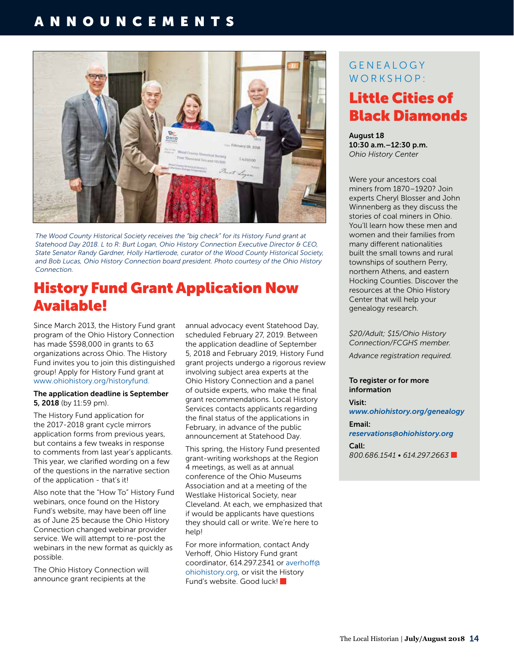# ANNOUNCEMENTS





# History Fund Grant Application Now Available!

Since March 2013, the History Fund grant program of the Ohio History Connection has made \$598,000 in grants to 63 organizations across Ohio. The History Fund invites you to join this distinguished group! Apply for History Fund grant at [www.ohiohistory.org/historyfund.](http://www.ohiohistory.org/historyfund)

#### The application deadline is September 5, 2018 (by 11:59 pm).

The History Fund application for the 2017-2018 grant cycle mirrors application forms from previous years, but contains a few tweaks in response to comments from last year's applicants. This year, we clarified wording on a few of the questions in the narrative section of the application - that's it!

Also note that the "How To" History Fund webinars, once found on the History Fund's website, may have been off line as of June 25 because the Ohio History Connection changed webinar provider service. We will attempt to re-post the webinars in the new format as quickly as possible.

The Ohio History Connection will announce grant recipients at the

annual advocacy event Statehood Day, scheduled February 27, 2019. Between the application deadline of September 5, 2018 and February 2019, History Fund grant projects undergo a rigorous review involving subject area experts at the Ohio History Connection and a panel of outside experts, who make the final grant recommendations. Local History Services contacts applicants regarding the final status of the applications in February, in advance of the public announcement at Statehood Day.

This spring, the History Fund presented grant-writing workshops at the Region 4 meetings, as well as at annual conference of the Ohio Museums Association and at a meeting of the Westlake Historical Society, near Cleveland. At each, we emphasized that if would be applicants have questions they should call or write. We're here to help!

For more information, contact Andy Verhoff, Ohio History Fund grant coordinator, 614.297.2341 or [averhoff@](mailto:averhoff@ohiohistory.org) [ohiohistory.org](mailto:averhoff@ohiohistory.org), or visit the History Fund's website. Good luck!

### **GENEALOGY** WORKSHOP:

# Little Cities of Black Diamonds

August 18 10:30 a.m.–12:30 p.m. *Ohio History Center* 

Were your ancestors coal miners from 1870–1920? Join experts Cheryl Blosser and John Winnenberg as they discuss the stories of coal miners in Ohio. You'll learn how these men and women and their families from many different nationalities built the small towns and rural townships of southern Perry, northern Athens, and eastern Hocking Counties. Discover the resources at the Ohio History Center that will help your genealogy research.

*\$20/Adult; \$15/Ohio History Connection/FCGHS member.*

*Advance registration required.*

To register or for more information

Visit: *www[.ohiohistory.org/genealogy](https://www.ohiohistory.org/learn/archives-library/archiveslibrary-services/genealogy-workshops)* Email: *[reservations@ohiohistory.org](mailto:reservations@ohiohistory.org)*  Call:

*800.686.1541 • 614.297.2663*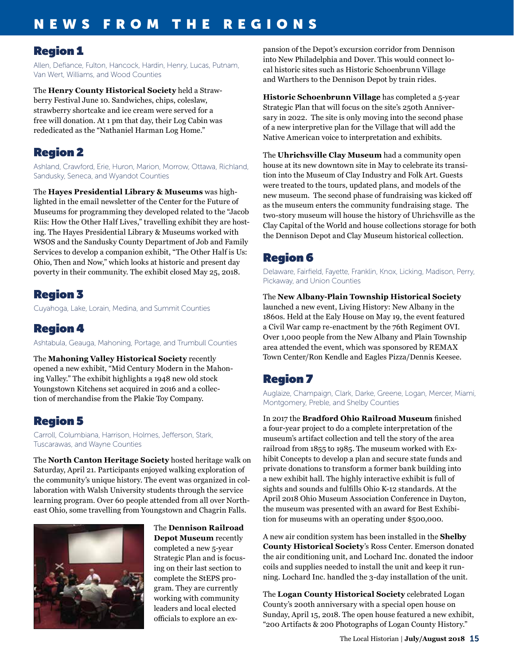# NEWS FROM THE REGIONS

### Region 1

Allen, Defiance, Fulton, Hancock, Hardin, Henry, Lucas, Putnam, Van Wert, Williams, and Wood Counties

The **Henry County Historical Society** held a Strawberry Festival June 10. Sandwiches, chips, coleslaw, strawberry shortcake and ice cream were served for a free will donation. At 1 pm that day, their Log Cabin was rededicated as the "Nathaniel Harman Log Home."

## Region 2

Ashland, Crawford, Erie, Huron, Marion, Morrow, Ottawa, Richland, Sandusky, Seneca, and Wyandot Counties

The **Hayes Presidential Library & Museums** was highlighted in the email newsletter of the Center for the Future of Museums for programming they developed related to the "Jacob Riis: How the Other Half Lives," travelling exhibit they are hosting. The Hayes Presidential Library & Museums worked with WSOS and the Sandusky County Department of Job and Family Services to develop a companion exhibit, "The Other Half is Us: Ohio, Then and Now," which looks at historic and present day poverty in their community. The exhibit closed May 25, 2018.

## Region 3

Cuyahoga, Lake, Lorain, Medina, and Summit Counties

## Region 4

Ashtabula, Geauga, Mahoning, Portage, and Trumbull Counties

The **Mahoning Valley Historical Society** recently opened a new exhibit, "Mid Century Modern in the Mahoning Valley." The exhibit highlights a 1948 new old stock Youngstown Kitchens set acquired in 2016 and a collection of merchandise from the Plakie Toy Company.

# Region 5

Carroll, Columbiana, Harrison, Holmes, Jefferson, Stark, Tuscarawas, and Wayne Counties

The **North Canton Heritage Society** hosted heritage walk on Saturday, April 21. Participants enjoyed walking exploration of the community's unique history. The event was organized in collaboration with Walsh University students through the service learning program. Over 60 people attended from all over Northeast Ohio, some travelling from Youngstown and Chagrin Falls.



The **Dennison Railroad Depot Museum** recently completed a new 5-year Strategic Plan and is focusing on their last section to complete the StEPS program. They are currently working with community leaders and local elected officials to explore an expansion of the Depot's excursion corridor from Dennison into New Philadelphia and Dover. This would connect local historic sites such as Historic Schoenbrunn Village and Warthers to the Dennison Depot by train rides.

**Historic Schoenbrunn Village** has completed a 5-year Strategic Plan that will focus on the site's 250th Anniversary in 2022. The site is only moving into the second phase of a new interpretive plan for the Village that will add the Native American voice to interpretation and exhibits.

The **Uhrichsville Clay Museum** had a community open house at its new downtown site in May to celebrate its transition into the Museum of Clay Industry and Folk Art. Guests were treated to the tours, updated plans, and models of the new museum. The second phase of fundraising was kicked off as the museum enters the community fundraising stage. The two-story museum will house the history of Uhrichsville as the Clay Capital of the World and house collections storage for both the Dennison Depot and Clay Museum historical collection.

# Region 6

Delaware, Fairfield, Fayette, Franklin, Knox, Licking, Madison, Perry, Pickaway, and Union Counties

The **New Albany-Plain Township Historical Society** launched a new event, Living History: New Albany in the 1860s. Held at the Ealy House on May 19, the event featured a Civil War camp re-enactment by the 76th Regiment OVI. Over 1,000 people from the New Albany and Plain Township area attended the event, which was sponsored by REMAX Town Center/Ron Kendle and Eagles Pizza/Dennis Keesee.

# Region 7

Auglaize, Champaign, Clark, Darke, Greene, Logan, Mercer, Miami, Montgomery, Preble, and Shelby Counties

In 2017 the **Bradford Ohio Railroad Museum** finished a four-year project to do a complete interpretation of the museum's artifact collection and tell the story of the area railroad from 1855 to 1985. The museum worked with Exhibit Concepts to develop a plan and secure state funds and private donations to transform a former bank building into a new exhibit hall. The highly interactive exhibit is full of sights and sounds and fulfills Ohio K-12 standards. At the April 2018 Ohio Museum Association Conference in Dayton, the museum was presented with an award for Best Exhibition for museums with an operating under \$500,000.

A new air condition system has been installed in the **Shelby County Historical Society**'s Ross Center. Emerson donated the air conditioning unit, and Lochard Inc. donated the indoor coils and supplies needed to install the unit and keep it running. Lochard Inc. handled the 3-day installation of the unit.

The **Logan County Historical Society** celebrated Logan County's 200th anniversary with a special open house on Sunday, April 15, 2018. The open house featured a new exhibit, "200 Artifacts & 200 Photographs of Logan County History."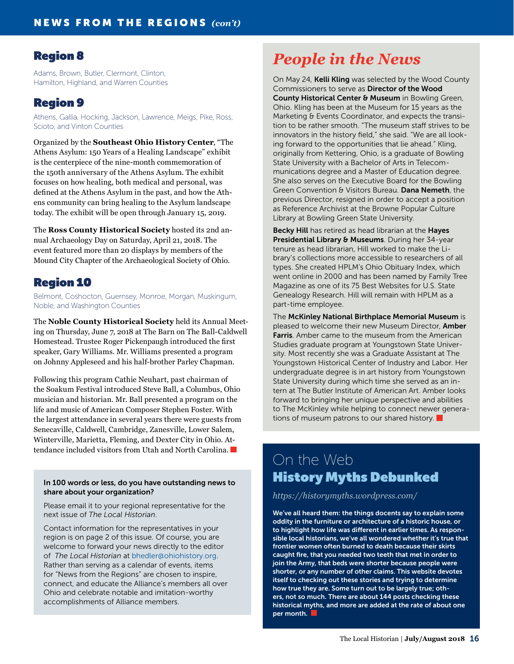### Region 8

Adams, Brown, Butler, Clermont, Clinton, Hamilton, Highland, and Warren Counties

### Region 9

Athens, Gallia, Hocking, Jackson, Lawrence, Meigs, Pike, Ross, Scioto, and Vinton Counties

Organized by the **Southeast Ohio History Center**, "The Athens Asylum: 150 Years of a Healing Landscape" exhibit is the centerpiece of the nine-month commemoration of the 150th anniversary of the Athens Asylum. The exhibit focuses on how healing, both medical and personal, was defined at the Athens Asylum in the past, and how the Athens community can bring healing to the Asylum landscape today. The exhibit will be open through January 15, 2019.

The **Ross County Historical Society** hosted its 2nd annual Archaeology Day on Saturday, April 21, 2018. The event featured more than 20 displays by members of the Mound City Chapter of the Archaeological Society of Ohio.

### Region 10

Belmont, Coshocton, Guernsey, Monroe, Morgan, Muskingum, Noble, and Washington Counties

The **Noble County Historical Society** held its Annual Meeting on Thursday, June 7, 2018 at The Barn on The Ball-Caldwell Homestead. Trustee Roger Pickenpaugh introduced the first speaker, Gary Williams. Mr. Williams presented a program on Johnny Appleseed and his half-brother Parley Chapman.

Following this program Cathie Neuhart, past chairman of the Soakum Festival introduced Steve Ball, a Columbus, Ohio musician and historian. Mr. Ball presented a program on the life and music of American Composer Stephen Foster. With the largest attendance in several years there were guests from Senecaville, Caldwell, Cambridge, Zanesville, Lower Salem, Winterville, Marietta, Fleming, and Dexter City in Ohio. Attendance included visitors from Utah and North Carolina.

#### In 100 words or less, do you have outstanding news to share about your organization?

Please email it to your regional representative for the next issue of *The Local Historian*.

Contact information for the representatives in your region is on page 2 of this issue. Of course, you are welcome to forward your news directly to the editor of *The Local Historian* at bhedle[r@ohiohistory.org.](mailto:arohmiller%40ohiohistory.org?subject=) Rather than serving as a calendar of events, items for "News from the Regions" are chosen to inspire, connect, and educate the Alliance's members all over Ohio and celebrate notable and imitation-worthy accomplishments of Alliance members.

# *People in the News*

On May 24, Kelli Kling was selected by the Wood County Commissioners to serve as Director of the Wood County Historical Center & Museum in Bowling Green, Ohio. Kling has been at the Museum for 15 years as the Marketing & Events Coordinator, and expects the transition to be rather smooth. "The museum staff strives to be innovators in the history field," she said. "We are all looking forward to the opportunities that lie ahead." Kling, originally from Kettering, Ohio, is a graduate of Bowling State University with a Bachelor of Arts in Telecommunications degree and a Master of Education degree. She also serves on the Executive Board for the Bowling Green Convention & Visitors Bureau. Dana Nemeth, the previous Director, resigned in order to accept a position as Reference Archivist at the Browne Popular Culture Library at Bowling Green State University.

Becky Hill has retired as head librarian at the Hayes Presidential Library & Museums. During her 34-year tenure as head librarian, Hill worked to make the Library's collections more accessible to researchers of all types. She created HPLM's Ohio Obituary Index, which went online in 2000 and has been named by Family Tree Magazine as one of its 75 Best Websites for U.S. State Genealogy Research. Hill will remain with HPLM as a part-time employee.

The McKinley National Birthplace Memorial Museum is pleased to welcome their new Museum Director, Amber Farris. Amber came to the museum from the American Studies graduate program at Youngstown State University. Most recently she was a Graduate Assistant at The Youngstown Historical Center of Industry and Labor. Her undergraduate degree is in art history from Youngstown State University during which time she served as an intern at The Butler Institute of American Art. Amber looks forward to bringing her unique perspective and abilities to The McKinley while helping to connect newer generations of museum patrons to our shared history.  $\blacksquare$ 

# On the Web History Myths Debunked

*<https://historymyths.wordpress.com/>*

We've all heard them: the things docents say to explain some oddity in the furniture or architecture of a historic house, or to highlight how life was different in earlier times. As responsible local historians, we've all wondered whether it's true that frontier women often burned to death because their skirts caught fire, that you needed two teeth that met in order to join the Army, that beds were shorter because people were shorter, or any number of other claims. This website devotes itself to checking out these stories and trying to determine how true they are. Some turn out to be largely true; others, not so much. There are about 144 posts checking these historical myths, and more are added at the rate of about one per month.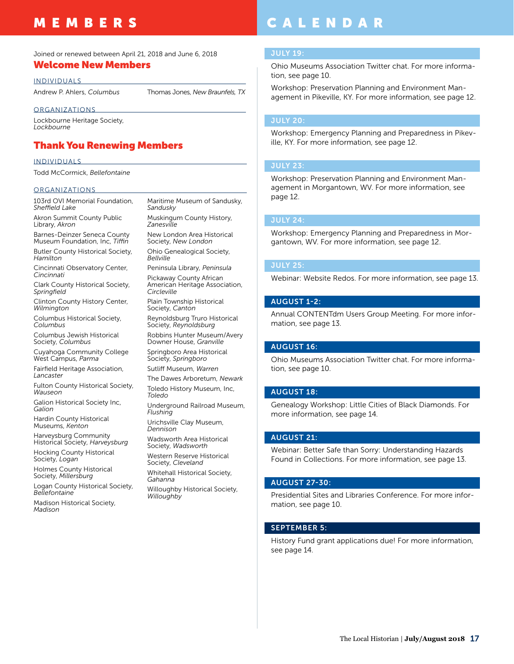# MEMBERS

#### Joined or renewed between April 21, 2018 and June 6, 2018

### Welcome New Members

INDIVIDUALS

Andrew P. Ahlers, *Columbus* Thomas Jones, *New Braunfels, TX*

#### **ORGANIZATIONS**

Lockbourne Heritage Society, *Lockbourne*

### Thank You Renewing Members

#### INDIVIDUALS

Todd McCormick, *Bellefontaine*

#### **ORGANIZATIONS**

103rd OVI Memorial Foundation, *Sheffield Lake*

Akron Summit County Public Library, *Akron*

Barnes-Deinzer Seneca County Museum Foundation, Inc, *Tiffin* Butler County Historical Society, *Hamilton*

Cincinnati Observatory Center, *Cincinnati*

Clark County Historical Society, *Springfield*

Clinton County History Center, *Wilmington*

Columbus Historical Society, *Columbus*

Columbus Jewish Historical Society, *Columbus*

Cuyahoga Community College West Campus, *Parma*

Fairfield Heritage Association, *Lancaster*

Fulton County Historical Society, *Wauseon*

Galion Historical Society Inc, *Galion*

Hardin County Historical Museums, *Kenton*

Harveysburg Community Historical Society, *Harveysburg* Hocking County Historical

Society, *Logan*

Holmes County Historical Society, *Millersburg*

Logan County Historical Society, *Bellefontaine*

Madison Historical Society, *Madison*

Maritime Museum of Sandusky, *Sandusky* Muskingum County History,

*Zanesville*

New London Area Historical Society, *New London* Ohio Genealogical Society,

*Bellville* Peninsula Library, *Peninsula*

Pickaway County African American Heritage Association, *Circleville*

Plain Township Historical Society, *Canton*

Reynoldsburg Truro Historical Society, *Reynoldsburg*

Robbins Hunter Museum/Avery Downer House, *Granville*

Springboro Area Historical Society, *Springboro*

Sutliff Museum, *Warren*

The Dawes Arboretum, *Newark* Toledo History Museum, Inc, *Toledo*

Underground Railroad Museum, *Flushing*

Urichsville Clay Museum, *Dennison*

Wadsworth Area Historical Society, *Wadsworth*

Western Reserve Historical Society, *Cleveland*

Whitehall Historical Society, *Gahanna*

Willoughby Historical Society, *Willoughby*

# CALENDAR

#### JULY 19:

Ohio Museums Association Twitter chat. For more information, see page 10.

Workshop: Preservation Planning and Environment Management in Pikeville, KY. For more information, see page 12.

#### JULY 20:

Workshop: Emergency Planning and Preparedness in Pikeville, KY. For more information, see page 12.

#### JULY 23:

Workshop: Preservation Planning and Environment Management in Morgantown, WV. For more information, see page 12.

#### JULY 24:

Workshop: Emergency Planning and Preparedness in Morgantown, WV. For more information, see page 12.

#### JULY 25:

Webinar: Website Redos. For more information, see page 13.

#### AUGUST 1-2:

Annual CONTENTdm Users Group Meeting. For more information, see page 13.

#### AUGUST 16:

Ohio Museums Association Twitter chat. For more information, see page 10.

#### AUGUST 18:

Genealogy Workshop: Little Cities of Black Diamonds. For more information, see page 14.

#### AUGUST 21:

Webinar: Better Safe than Sorry: Understanding Hazards Found in Collections. For more information, see page 13.

#### AUGUST 27-30:

Presidential Sites and Libraries Conference. For more information, see page 10.

#### SEPTEMBER 5:

History Fund grant applications due! For more information, see page 14.